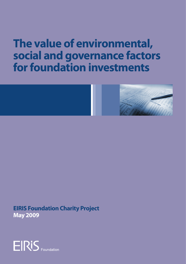# **The value of environmental, social and governance factors for foundation investments**



**EIRIS Foundation Charity Project May 2009**

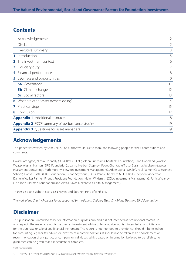### **Contents**

| Acknowledgements                                      |                |  |
|-------------------------------------------------------|----------------|--|
| Disclaimer                                            | $\overline{2}$ |  |
| Executive summary                                     | 3              |  |
| Introduction<br>$\mathbf{1}$                          | 5              |  |
| The investment context<br>$\mathbf{2}$                | 6              |  |
| <b>3</b> Fiduciary duty                               | $\overline{7}$ |  |
| 4 Financial performance                               | 8              |  |
| <b>5</b> ESG risks and opportunities                  | 10             |  |
| <b>5a</b> Governance                                  | 11             |  |
| <b>5b</b> Climate change                              | 12             |  |
| <b>5c</b> Social factors                              | 13             |  |
| 6 What are other asset owners doing?                  | 14             |  |
| 7 Practical steps                                     | 15             |  |
| 8 Conclusion                                          | 17             |  |
| <b>Appendix 1</b> Additional resources                | 18             |  |
| <b>Appendix 2</b> ECCE summary of performance studies |                |  |
| <b>Appendix 3</b> Questions for asset managers        | 19             |  |

# **Acknowledgements**

This paper was written by Sam Collin. The author would like to thank the following people for their contributions and comments:

David Carrington, Nicola Donnelly (UBS), Bevis Gillet (Polden Puckham Charitable Foundation), Jane Goodland (Watson Wyatt), Alastair Hanton (EIRIS Foundation), Joanna Herbert Stepney (Paget Charitable Trust), Susanna Jacobson (Mercer Investment Consulting), Ruth Murphy (Newton Investment Management), Adam Ognall (UKSIF), Paul Palmer (Cass Business School), Danyal Sattar (EIRIS Foundation), Susan Seymour (JRCT), Penny Shepherd MBE (UKSIF), Stephen Viederman, Danielle Walker Palmer (Friends Provident Foundation), Helen Wildsmith (CCLA Investment Management), Patricia Yearley (The John Ellerman Foundation) and Alexia Zavos (Cazenove Capital Management).

Thanks also to Elizabeth Evers, Lisa Hayles and Stephen Hine of EIRIS Ltd.

*The work of the Charity Project is kindly supported by the Barrow Cadbury Trust, City Bridge Trust and EIRIS Foundation.*

# **Disclaimer**

This publication is intended to be for information purposes only and it is not intended as promotional material in any respect. The material is not to be used as investment advice or legal advice, nor is it intended as a solicitation for the purchase or sale of any financial instrument. The report is not intended to provide, nor should it be relied on, for accounting, legal or tax advice, or investment recommendations. It should not be taken as an endorsement or recommendation of any particular company or individual. Whilst based on information believed to be reliable, no guarantee can be given that it is accurate or complete.

© EIRIS Foundation 2009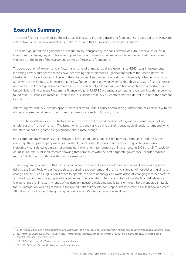# **Executive Summary**

The recent financial crisis exposed the risks that all investors, including trusts and foundations are exposed to. Any investor with a stake in the financial market has a stake in ensuring that a similar crisis is avoided in future.

The crisis highlighted the significance of accountability, transparency, the consideration of 'extra-financial' research in investment processes, responsible ownership and long-term investing. Increasingly it is recognised that these values should be at the heart of the investment strategy of trusts and foundations.

The consideration of 'extra-financial' factors, such as environment, social and governance (ESG) issues in investments is nothing new. A number of charities have been doing this for decades. Organisations such as the Joseph Rowntree Charitable Trust have invested in line with their charitable objectives without losing out financially. Whether or not you agree with the mission case for incorporating ESG factors, there is growing evidence that this is an astute financial decision and can be used to safeguard and enhance returns. It can help to mitigate risks and take advantage of opportunities. The United Nations Environment Programme Finance Initiative (UNEP FI) produced a comprehensive study into this issue which found that 'ESG issues are material – there is robust evidence that ESG issues affect shareholder value in both the short and long term.'1

Addressing material ESG risks and opportunities is allowed under Charity Commission guidance and has a clear fit with the duties of trustees. A failure to do so is seen by some as a breech of fiduciary duty.<sup>2</sup>

The most financially-relevant ESG factors can arise from the actions and reactions of regulators, consumers, suppliers, employees and financial markets. Two issues which are seen as crucial to ensuring sustainable financial returns and which therefore cannot be ignored are governance and climate change.

Poor corporate governance has been shown to have serious consequences for individual companies and the wider economy. The way a company manages risk should be of particular concern to investors. Corporate governance is increasingly considered as a means of enhancing the long-term performance of investments. In 2008 the ABI (Association of British Insurers) published research showing that companies with the best corporate governance records produced returns 18% higher than those with poor governance.<sup>3</sup>

There is a growing consensus that climate change will be financially significant to all companies. It presents a systemic risk and the Stern Review<sup>4</sup> clarifies the threats posed to the economy and the financial impact of not addressing climate change. Factors such as regulation, licence to operate, the price of energy and waste disposal, changing weather patterns and the impact on resources, reputational issues and the potential for future lawsuits indicate the financial relevance of climate change for investors. A range of mainstream investors, including public pension funds, have pioneered strategies for ESG integration, while signatories to the United Nations Principles for Responsible Investment (UN PRI) now represent \$18 trillion, an indication of the growing recognition of ESG integration as a value driver.

*UNEP Finance Initiative Asset Management Working Group (2006) 'Show Me The Money: Linking Environmental, Social and Governance Issues to Company Value'.* 

*See Freshfields Bruckhaus Deringer (2005) 'A Legal Framework for the Integration of Environmental, Social and Governance Issues into Institutional Investment' (UNEP Finance Initiative).*

*ABI (2008) 'Governance And Performance In Corporate Britain'.*

*Stern, N. (2006) Stern Review: The Economics of Climate Change.*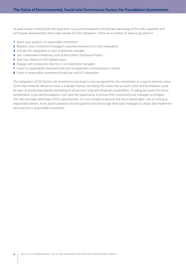As asset owners investing for the long term, trusts and foundations should take advantage of the skills, expertise and techniques developed by other asset owners for ESG integration. There are a number of ways to go about it:

- **1** Agree your position on responsible investment
- **2** Research your investment manager's expertise and practice in ESG integration
- **3** Include ESG integration in your investment mandate
- **4** Join collaborative initiatives, such as the Carbon Disclosure Project
- **5** Vote your shares on ESG related issues
- **6** Engage with companies directly or via investment managers
- **7** Invest in sustainability-themed funds such as greentech, microfinance or timber
- **8** Invest in responsible investment funds that use ESG integration

The integration of ESG factors into investment processes is now recognised by the mainstream as a way to enhance value. Given their financial relevance, there is a danger that by not taking ESG issues into account trusts and foundations could be seen as acting imprudently and failing to secure their long term financial sustainability. To safeguard assets for future beneficiaries, trusts and foundations now have the opportunity to ensure their investments are managed to mitigate ESG risks and take advantage of ESG opportunities. It is not enough to assume that this is being taken care of. Acting as responsible owners, trusts and foundations should question and encourage their asset managers to adopt and implement best practice in responsible investment.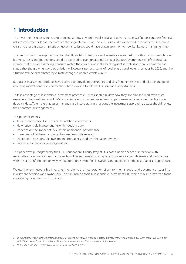# **1 Introduction**

The investment sector is increasingly looking at how environmental, social and governance (ESG) factors can pose financial risks to investments. It has been argued that a greater focus on social issues could have helped to identify the sub-prime crisis and that a greater emphasis on governance issues could have drawn attention to how banks were managing risks.<sup>5</sup>

The credit crunch has exposed the risks that financial institutions - and investors – were taking. With a carbon crunch now looming, trusts and foundations could be exposed to even greater risks. In fact the UK Government's chief scientist has warned that the world is facing a crisis to match the current one in the banking sector. Professor John Beddington has stated that the growing world population will cause a 'perfect storm' of food, energy and water shortages by 2030, and the situation will be exacerbated by climate change in unpredictable ways.<sup>6</sup>

But just as investment products have evolved to provide opportunities to diversify, minimise risks and take advantage of changing market conditions, so methods have evolved to address ESG risks and opportunities.

To take advantage of responsible investment practices trustees should review how they appoint and work with asset managers. The consideration of ESG factors to safeguard or enhance financial performance is clearly permissible under fiduciary duty. To ensure that asset managers are incorporating a responsible investment approach trustees should review their contractual arrangements.

This paper examines:

- The current context for trust and foundation investments
- How responsible investment fits with fiduciary duty
- Evidence on the impact of ESG factors on financial performance
- Examples of ESG issues and why they are financially relevant
- Details of the responsible investment approaches used by other asset owners
- Suggested actions for your organisation

This paper was put together by the EIRIS Foundation's Charity Project. It is based upon a series of interviews with responsible investment experts and a review of recent research and reports. Our aim is to provide trusts and foundations with the latest information on why ESG factors are relevant for all investors and guidance on the first practical steps to take.

We use the term responsible investment to refer to the incorporation of environmental, social and governance issues into investment decisions and ownership. This can include socially responsible investment (SRI) which may also involve a focus on aligning investments with mission.

*The example of the Interfaith Center on Corporate Responsibility's warnings on predatory mortgage lending practices is quoted in Kropp, R (5 December 2008) Shareowner Advocates Find Hope Despite Troubled Economic Times in www.socialfunds.com*

*McGourty, C. (19 March 2009) 'Global crisis "to strike by 2030" BBC News*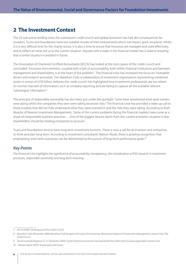# **2 The Investment Context**

The US sub-prime lending crisis, the subsequent credit crunch and global downturn has had dire consequences for investors. Trusts and foundations have lost sizeable chunks of their endowments which will impact grant recipients. Whilst it is a very difficult time for the charity sector, it is also a time to ensure that resources are managed and used effectively, and to reflect on what led us to the current situation. Anyone with a stake in the financial market has a stake in ensuring that a similar situation is avoided in future.

The Association of Chartered Certified Accountants (ACCA) has looked at the root causes of the credit crunch and concluded: 'Excessive short-termism, coupled with a lack of accountability both within financial institutions and between management and shareholders, is at the heart of the problem.'7 The financial crisis has increased the focus on 'intangible' drivers and research processes. The Marathon Club, a collaboration of investment organisations representing combined assets in excess of £170 billion, believes the credit crunch has highlighted how investment professionals are too reliant on normal channels of information, such as company reporting and are failing to capture all the available relevant 'submerged' information.8

The principle of responsible ownership has also been put under the spotlight. Some have questioned what asset owners were doing whilst the companies they own were taking excessive risks.<sup>9</sup> The financial crisis has provided a wake-up call to those trustees that did not fully understand what they were invested in and the risks they were taking. According to Ruth Murphy of Newton Investment Management, 'Some of the current problems facing the financial markets have come as a result of irresponsible business practices. …One of the biggest lessons learnt from the current economic situation is that shareholders should be holding companies to account.'

Trusts and foundations tend to have long-term investment horizons. There is now a call for all investors and companies to think and plan long-term. According to investment consultants Watson Wyatt, there is growing recognition that emphasising short-term outcomes can be detrimental to the pursuit of long-term performance goals.<sup>10</sup>

### *Key Points*

*The financial crisis highlights the significance of accountability, transparency, the consideration of ESG research in investment processes, responsible ownership and long-term investing.*

*ACCA (2008) 'Climbing out of the Credit Crunch'*

*Marathon Club (December 2008) Marathon Club Guidance For Long-Term Investing- Behavioural Aspects Of Investment Management: Lessons From The Credit Crunch*

*See for example Bingham, K. (11 December 2008) 'Could institutional investors have prevented the credit crisis?' in www.responsible-investor.com*

*<sup>10</sup> Watson Wyatt (2007) 'Investing for the Future.'*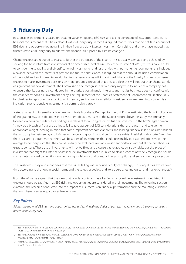# **3 Fiduciary Duty**

Responsible investment is based on creating value, mitigating ESG risks and taking advantage of ESG opportunities. Its financial focus means that it has a clear fit with fiduciary duty. In fact it is argued that trustees that do not take account of ESG risks and opportunities are failing in their fiduciary duty. Mercer Investment Consulting and others have argued that trustees have a fiduciary duty to address the financial risks posed by climate change.<sup>11</sup>

Charity trustees are required to invest to further the purposes of the charity. This is usually seen as being achieved by seeking the best return from investments at an acceptable level of risk. Under the Trustee Act 2000, trustees have a duty to consider the suitability and diversification of investments, and for charities with permanent endowments, this includes a balance between the interests of present and future beneficiaries. It is argued that this should include a consideration of the social and environmental world that future beneficiaries will inhabit.12 Additionally, the Charity Commission permits trustees to make investment decisions on moral grounds, provided that they are clear this will not put their charity at risk of significant financial detriment. The Commission also recognises that a charity may wish to influence a company both to ensure that its business is conducted in the charity's best financial interests and that its business does not conflict with the charity's responsible investment policy. The requirement of the Charities' Statement of Recommended Practice 2005 for charities to report on the extent to which social, environmental or ethical considerations are taken into account is an indication that responsible investment is a permissible strategy.

A study by leading international law firm Freshfields Bruckhaus Deringer for the UNEP FI investigated the legal implications of integrating ESG considerations into investment decisions. As with the Mercer report above the study was primarily focused on pension funds but its findings are relevant for all long-term institutional investors. In the firm's legal opinion, 'It may be a breach of fiduciary duties to fail to take account of ESG considerations that are relevant and to give them appropriate weight, bearing in mind that some important economic analysts and leading financial institutions are satisfied that a strong link between good ESG performance and good financial performance exists.' Freshfields also state, 'We think there is a strong argument that there will be a class of investments that could reasonably be assumed offensive to the average beneficiary such that they could lawfully be excluded from an investment portfolio without all the beneficiaries' express consent. That class of investments will not be fixed and a conservative approach is advisable, but the types of investment that might fall into that class include investments that are linked to clear breaches of widely recognised norms, such as international conventions on human rights, labour conditions, tackling corruption and environmental protection.'

The Freshfields study also recognises that the issues falling within fiduciary duty can change, 'Fiduciary duties evolve over time according to changes in social norms and the values of society and, to a degree, technological and market changes.<sup>13</sup>

It can therefore be argued that the view that fiduciary duty acts as a barrier to responsible investment is outdated. All trustees should be satisfied that ESG risks and opportunities are considered in their investments. The following section examines the research conducted into the impact of ESG factors on financial performance and the mounting evidence that such issues can safeguard or enhance value.

### *Key Points*

*Addressing material ESG risks and opportunities has a clear fit with the duties of trustees. A failure to do so is seen by some as a breech of fiduciary duty.*

*<sup>11</sup> See for example, Mercer Investment Consulting (2005), 'A Climate for Change. A Trustee's Guide to Understanding and Addressing Climate Risk' (The Carbon Trust, IIGCC and Mercer Investment Consulting)*

*<sup>12</sup> See for example Eurosif, Bellagio Forum for Sustainable Development and European Foundation Centre (2006) 'Primer for Responsible Investment Management of Endowments: PRIME Toolkit'*

*<sup>13</sup> Freshfields Bruckhaus Deringer (2005) 'A Legal Framework for the Integration of Environmental, Social and Governance Issues into Institutional Investment (UNEP Finance Initiative).*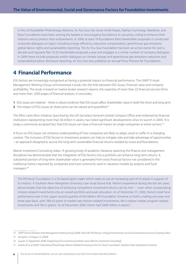In the US Rockefeller Philanthropy Advisors, As You Sow, the Jessie Smith Noyes, Nathan Cummings, Needmor, and Rose Foundations have been among the leaders in encouraging foundations to use proxy voting to enhance their missions and to protect their endowments. In 2009, at least 19 foundations filed shareholder proposals or conducted corporate dialogues on topics including energy efficiency, executive compensation, greenhouse-gas emissions, global labour rights and sustainability reporting. The As You Sow Foundation has been an active owner for over a decade and regularly files 10-20 shareholder proposals a year and engages in a similar number of company dialogues. In 2009 these include proposals and/or dialogues on climate change and greenhouse gas emissions reduction and sustainability/carbon disclosure reporting. As You Sow also publishes an annual Proxy Preview for Foundations.

# **4 Financial Performance**

ESG factors are increasingly recognised as having a potential impact on financial performance. The UNEP FI Asset Management Working Group commissioned a study into the links between ESG issues, financial value and company profitability. The study is based on twelve broker research reports, the expertise of more than 22 financial services firms and more than 1,000 pages of financial analysis. It concludes:

- **1** ESG issues are material there is robust evidence that ESG issues affect shareholder value in both the short and long term.
- **2** The impact of ESG issues on share price can be valued and quantified.<sup>14</sup>

The Who Cares Wins initiative, launched by the UN Secretary-General's Global Compact Office and endorsed by financial institutions representing more than \$6 trillion in assets, has noted significant developments since its launch in 2004. 'It is today a commonly-accepted fact that ESG issues can have a financial impact on single companies or entire sectors.<sup>'15</sup>

A focus on ESG issues can enhance understanding of how companies are likely to adapt, excel or suffer in a changing context. The inclusion of ESG factors in investment analysis can help to mitigate risks and take advantage of opportunities – an approach designed to secure the long-term sustainable financial returns needed by trusts and foundations.

Mercer Investment Consulting states, 'A growing body of academic literature spanning the finance and management disciplines has demonstrated that the integration of ESG factors into a portfolio can enhance long-term returns. A substantial portion of long-term shareholder value is generated from extra financial factors not considered in the traditional metrics reported by companies and most commonly used in valuation models by analysts and fund managers.'16

The FB Heron Foundation is a US-based grant maker which seeks to use an increasing part of its assets in support of its mission. A Southern New Hampshire University case study found that 'Heron's experience during the last ten years demonstrates that the objective of achieving competitive investment returns can be met — even when incorporating mission-related investments into an overall portfolio and asset allocation. As of December 31, 2006, Heron's total fund performance was in the upper second quartile of the Mellon All-Foundation Universe on both a trailing one-year and three-year basis, with 18% of assets in market-rate mission-related investments, 6% in below market program-related investments and 3% in grants.' As of December 2006, Heron had \$308 million in assets.<sup>17</sup>

*<sup>14</sup> UNEP Finance Initiative Asset Management Working Group (2006) 'Show Me The Money: Linking Environmental, Social and Governance Issues to Company Value'*

*<sup>15</sup> Knoepfel, I. & Hagart, G. (2009)*

*<sup>16</sup> Guyatt, D. (September 2008) 'Integrating ESG to enhance portfolio value' (Mercer Investment Consulting).*

*<sup>17</sup> Swack, M. et al (2007) 'Expanding Philanthropy: Mission-Related Investing at the F.B. Heron Foundation' Southern New Hampshire University*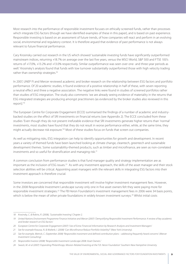Most research into the performance of responsible investment focuses on ethically screened funds, rather than processes which integrate ESG factors (though we have identified examples of these in this paper), and is based on past experience. Responsible investing is based on an assessment of future trends, of how companies will react and perform in an evolving social, environmental and regulatory context. It is therefore argued that evidence of past performance is not always relevant to future financial performance.

Cary Krosinsky carried out research in the US which showed 'sustainable investing funds have significantly outperformed mainstream indices, returning +18.7% on average over the last five years, versus the MSCI World, S&P 500 and FTSE 100's returns of +17.0%, +13.2% and +13.0% respectively. Similar outpeformance was seen over one- and three-year periods as well.' Krosinsky's analysis found that funds with low turnover substantially outperformed those with high velocity trading rather than ownership strategies.<sup>18</sup>

In 2007, UNEP FI and Mercer reviewed academic and broker research on the relationship between ESG factors and portfolio performance. Of 20 academic studies, it found evidence of a positive relationship in half of these, with seven reporting a neutral effect and three a negative association. The negative links were found in studies of screened portfolios rather than studies of ESG integration. The study also comments 'we are already seeing evidence of materiality in the returns that ESG integrated strategies are producing amongst practitioners (as evidenced by the broker studies also reviewed in this report).'19

The European Centre for Corporate Engagement (ECCE) summarised the findings of a number of academic and industrybacked studies on the effect of SRI investments on financial returns (see Appendix 2). The ECCE concluded from these studies 'Even though they do not present irrefutable evidence that SRI investments generate higher returns than 'normal' investments, most studies have found that they do not result in worse performance either, while, at the same time, they might actually decrease risk exposure.'20 Most of these studies focus on funds that screen out companies.

As well as mitigating risks, ESG integration can help to identify opportunities for growth and development. In recent years a variety of themed funds have been launched looking at climate change, cleantech, greentech and sustainable development themes. Some sustainability-themed products, such as timber and microfinance, are seen as non-correlated investments and so useful for diversification and managing risk.<sup>21</sup>

A common conclusion from performance studies is that fund manager quality and strategy implementation are as important as the inclusion of ESG issues.<sup>22</sup> As with any investment approach, the skills of the asset manager and their stock selection abilities will be critical. Appointing asset managers with the relevant skills in integrating ESG factors into their investment approach is therefore crucial.

Some investors are concerned that responsible investment will involve higher investment management fees. However, in the 2008 Responsible Investment Landscape survey only one in five asset owners felt they were paying more for responsible investment strategies.23 The FB Heron Foundation's investment management fees in 2006 were 34 basis points, which is below the mean of other private foundations in widely known investment surveys.<sup>24</sup> Whilst initial costs

*<sup>18</sup> Krosinsky, C. & Robins, R. (2008), 'Sustainable Investing' Chapter 2.*

*<sup>19</sup> United Nations Environment Programme Finance Initiative and Mercer (2007) 'Demystifying Responsible Investment Performance: A review of key academic and broker research on ESG factors'*

*<sup>20</sup> European Centre for Corporate Engagement (2007) 'Use of Extra-Financial Information by Research Analysts and Investment Managers'*

*<sup>21</sup> See for example Kraussa, N. & Walterb, I. (2008) 'Can Microfinance Reduce Portfolio Volatility?' (New York University).*

*<sup>22</sup> See for example, Metrick, C. (September 2008) 'Responsible investment and defined contribution plans – addressing frequently heard concerns' (Mercer Investment Consulting)*

*<sup>23</sup> Responsible Investor (2008) 'Responsible Investment Landscape 2008: Asset Owners.'*

*<sup>24</sup> Swack, M. et al (2007) 'Expanding Philanthropy: Mission-Related Investing at the F.B. Heron Foundation' Southern New Hampshire University*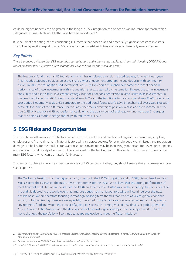could be higher, benefits can be greater in the long run. ESG integration can be seen as an insurance approach, which safeguards returns which would otherwise have been forfeited.<sup>25</sup>

It is the risk of not acting, of not considering ESG factors that poses risks and potentially significant costs to investors. The following section explains why ESG factors can be material and gives examples of financially relevant issues.

#### *Key Points*

*There is growing evidence that ESG integration can safeguard and enhance returns. Research commissioned by UNEP FI found robust evidence that ESG issues affect shareholder value in both the short and long term.*

The Needmor Fund is a small US foundation which has employed a mission related strategy for over fifteen years (this includes screened equities, an active share owner engagement programme and deposits with community banks). In 2006 the foundation had investments of \$26 million. Sarah Stranahan compared the recent financial performance of these investments with a foundation that was started by the same family, uses the same investment consultant and has a similar investment strategy, but does not consider mission related issues in its investments. In the year to October 31st 2008, Needmor was down 24.1% and the traditional foundation was down 28.6%. Over a five year period Needmor was up 3.6% compared to the traditional foundation's 3.2%. Stranahan believes asset allocation accounts for some of the difference - particularly Needmor's overweight position in cash and fixed income. But she puts 2.5% of Needmor's 4.5% outperformance down to the quality bent of their equity fund manager. She argues that this acts as a modest hedge and helps to reduce volatility.<sup>26</sup>

### **5 ESG Risks and Opportunities**

The most financially-relevant ESG factors can arise from the actions and reactions of regulators, consumers, suppliers, employees and financial markets. Material factors will vary across sectors. For example, supply chain issues and reputation damage can be key for the retail sector, water resource constraints may be increasingly important for beverage companies, and risk control and quality of lending will be significant for the banking sector. This section describes just three of the many ESG factors which can be material for investors.

Trustees do not have to become experts in an array of ESG concerns. Rather, they should ensure that asset managers have such expertise.

The Wellcome Trust is by far the biggest charity investor in the UK. Writing at the end of 2008, Danny Truell and Nick Moakes gave their views on the future investment trends for the Trust, 'We believe that the strong performance of most financial assets between the start of the 1980s and the middle of 2007 was underpinned by the secular decline in bond yields around the world over that time. We doubt that that favourable wind will continue over the next decade or so. We are therefore focusing increasingly on long-term themes that we see as key to global economic activity in future. Among these, we are especially interested in the broad area of scarce resources including energy, environment, food and water; the impact of ageing on society; the emergence of new drivers of global growth in Africa, Asia and Latin America; and the development of a knowledge economy in the developed world.... As the world changes, the portfolio will continue to adapt and evolve to meet the Trust's mission.'<sup>27</sup>

*<sup>25</sup> See for example Knox S & Maklan S (2004) 'Corporate Social Responsibility: Moving Beyond Investment Towards Measuring Outcomes' European Management Journal*

*<sup>26</sup> Stranahan, S (January 11,2009) 'A tale of two foundations' in Responsible Investor*

*<sup>27</sup> Truell, D. & Moakes, N. (2008) 'Going for growth: What makes a successful investment strategy?' In Effect magazine winter 2008*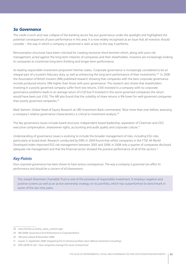#### *5a Governance*

The credit crunch and near collapse of the banking sector has put governance under the spotlight and highlighted the potential consequences of poor performance in this area. It is now widely recognised as an issue that all investors should consider – the way in which a company is governed is seen as key to the way it performs.

Remuneration structures have been criticised for creating excessive short-termism which, along with poor risk management, acted against the long-term interests of companies and their shareholders. Investors are increasingly looking to companies to incentivise long-term thinking and longer-term performance.

As leading responsible investment proponent Hermes states, 'Corporate governance is increasingly considered to be an integral part of a trustee's fiduciary duty, as well as enhancing the long term performance of their investments.'28 In 2008 the Association of British Insurers (ABI) published research showing that companies with the best corporate governance records produced returns 18% higher than those with poor governance. The research also shows that shareholders investing in a poorly governed company suffer from low returns. £100 invested in a company with no corporate governance problems leads to an average return of £120 but if invested in the worst governed companies the return would have been just £102. The ABI also found that the volatility of share returns is 9% lower for well-governed companies than poorly governed companies.<sup>29</sup>

Mark Steinert, Global Head of Equity Research at UBS Investment Bank commented, 'Now more than ever before, assessing a company's relative governance characteristics is critical to investment analysis,<sup>130</sup>

The key governance issues include board structure, independent board leadership, separation of Chairman and CEO, executive compensation, shareowner rights, accounting and audit quality and corporate culture.<sup>31</sup>

Understanding of governance issues is evolving to include the broader management of risks, including ESG risks, particularly at board level. Research conducted by EIRIS in 2009 found that whilst companies in the FTSE All World Developed Index improved ESG risk management between 2005 and 2008, in 2008 only a quarter of companies disclosed adequate risk management and that the financial sector showed the poorest performance of all of the sectors.<sup>32</sup>

#### *Key Points*

Poor corporate governance has been shown to have serious consequences. The way a company is governed can affect its *performance and should be a concern of all shareowners.* 

The Joseph Rowntree Charitable Trust is one of the pioneers of responsible investment. It employs negative and positive screens as well as an active ownership strategy on its portfolio, which has outperformed its benchmark in seven of the last nine years.

*<sup>28</sup> www.hermes.co.uk/eos\_value\_creation.aspx*

*<sup>29</sup> ABI (2008) 'Governance And Performance In Corporate Britain'*

*<sup>30</sup> UBS press release (8 November 2008)*

*<sup>31</sup> Guyatt, D. (September 2008) 'Integrating ESG to enhance portfolio value' (Mercer Investment Consulting)*

*<sup>32</sup> EIRIS (2009) At risk? - How companies manage ESG issues at board level*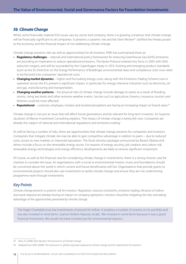#### *5b Climate Change*

Whilst some financially material ESG issues vary by sector and company, there is a growing consensus that climate change will be financially significant to all companies. It presents a systemic risk and the Stern Review<sup>33</sup> clarified the threats posed to the economy and the financial impact of not addressing climate change.

Climate change presents risks (as well as opportunities) for all investors. EIRIS has summarised these as:

- **Regulatory challenges** national and international policy frameworks for reducing Greenhouse Gas (GHG) emissions are providing an imperative to reduce operational emissions. The Kyoto Protocol entered into force in 2005 with GHG reduction targets, and will be succeeded by the Copenhagen treaty in 2013. Existing and emerging product standards (such as the EU Directive on the Energy Performance of Buildings), environmental taxes and compliance costs now need to be factored into companies' operational costs.
- **Changing market dynamics** higher and fluctuating energy costs, along with the Emissions Trading Scheme now in operation across the EU, present a significant impact, in particular for energy-intensive industries such as electricity, oil and gas, manufacturing and transportation.
- **Changing weather patterns** the physical risks of climate change include damage to assets as a result of flooding, storms, rising sea levels and other extreme weather events. Sectors such as agriculture, forestry, insurance, tourism and fisheries could be most affected.
- **Reputational** customer, employee, investor and societal perceptions are having an increasing impact on brand value.<sup>34</sup>

Climate change is not just an issue that will affect future generations and be relevant for long-term investors. As Susanna Jacobson of Mercer Investment Consulting explains, 'The impact of climate change is being felt now. Companies are already the subject of national and international regulations and emissions trading.'

As well as facing a number of risks, there are opportunities that climate change presents for companies and investors. Companies that mitigate climate risk may be able to gain competitive advantage in relation to peers – due to reduced costs, access to new markets or improved reputation. The fiscal stimulus packages announced by Barack Obama and others include a focus on the renewable energy sector. For reasons of energy security, job creation and carbon risk, renewable energy technologies and energy efficiency developments are likely to receive significant investment.

Of course, as well as the financial case for considering climate change in investments, there is a strong mission case for charities to consider the issue. As organisations with a social or environmental mission, trusts and foundations should be concerned about the world in which current and future beneficiaries will live. Organisations that provide grants to environmental projects should also use investments to tackle climate change and ensure they are not undermining programme work through investments.

#### *Key Points*

*Climate change presents a systemic risk for investors. Regulation, resource constraints, emissions trading, the price of carbon and waste disposal are already having an impact on company operations. Investors should be mitigating the risks and taking advantage of the opportunities presented by climate change.*

The Paget Charitable trust has investments of around £4 million. It employs a number of screens on its portfolio and has also invested in wind farms. Joanna Herbert-Stepney recalls, 'We invested in wind farms because it was a good financial investment. We would not have invested just for environmental reasons.'

*<sup>33</sup> Stern, N. (2006) Stern Review: The Economics of Climate Change*

*<sup>34</sup> Adapted from EIRIS (2008) 'The state we're in: global corporate response to climate change and the implications for investors'*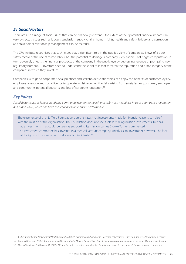### *5c Social Factors*

There are also a range of social issues that can be financially relevant – the extent of their potential financial impact can vary by sector. Issues such as labour standards in supply chains, human rights, health and safety, bribery and corruption and stakeholder relationship management can be material.

The CFA Institute recognises that such issues play a significant role in the public's view of companies. 'News of a poor safety record or the use of forced labour has the potential to damage a company's reputation. That negative reputation, in turn, adversely affects the financial prospects of the company in the public eye by depressing revenue or prompting new regulatory burdens. …Investors need to understand the social risks that threaten the reputation and brand integrity of the companies in which they invest.' 35

Companies with good corporate social practices and stakeholder relationships can enjoy the benefits of customer loyalty, employee retention and social licence to operate whilst reducing the risks arising from safety issues (consumer, employee and community), potential boycotts and loss of corporate reputation.<sup>36</sup>

### *Key Points*

*Social factors such as labour standards, community relations or health and safety can negatively impact a company's reputation and brand value, which can have consequences for financial performance.*

The experience of the Nuffield Foundation demonstrates that investments made for financial reasons can also fit with the mission of the organisation. The Foundation does not see itself as making mission investments, but has made investments that could be seen as supporting its mission. James Brooke Turner, commented, 'The investment committee has invested in a medical venture company, strictly as an investment however. The fact that it aligns with our mission is welcome but incidental.<sup>'37</sup>

*<sup>35</sup> CFA Institute Centre for Financial Market Integrity (2008) 'Environmental, Social, and Governance Factors at Listed Companies: A Manual for Investors'*

*<sup>36</sup> Knox S & Maklan S (2004) 'Corporate Social Responsibility: Moving Beyond Investment Towards Measuring Outcomes' European Management Journal*

*<sup>37</sup> Quoted in Nissan, S. & Bolton, M. (2008) 'Mission Possible: Emerging opportunities for mission-connected investment' (New Economics Foundation).*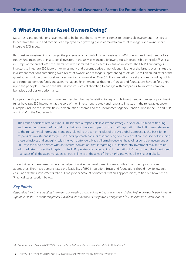### **6 What Are Other Asset Owners Doing?**

Most trusts and foundations have tended to be behind the curve when it comes to responsible investment. Trustees can benefit from the skills and techniques employed by a growing group of mainstream asset managers and owners that integrate ESG issues.

Responsible investment is no longer the preserve of a handful of niche investors. In 2007 one in nine investment dollars run by fund managers or institutional investors in the US was managed following socially responsible principles.38 Whilst in Europe at the end of 2007 the SRI market was estimated to represent €2.7 trillion in assets. The UN PRI encourages investors to integrate ESG factors into investment and become active shareholders. It is one of the largest ever institutional investment coalitions comprising over 470 asset owners and managers representing assets of \$18 trillion an indicator of the growing recognition of responsible investment as a value driver. Over 50 UK organisations are signatories including public and corporate pension funds and asset managers. Six international (but no UK) trusts and foundations have so far signed up to the principles. Through the UN PRI, investors are collaborating to engage with companies, to improve company behaviour, policies or performance.

European public pension funds have been leading the way in relation to responsible investment. A number of prominent funds have put ESG integration at the core of their investment strategy and have also invested in the renewables sector. Examples include the Universities Superannuation Scheme and the Environment Agency Pension Fund in the UK and ABP and PGGM in the Netherlands.

The French pensions reserve fund (FRR) adopted a responsible investment strategy in April 2008 aimed at tracking and preventing the extra-financial risks that could have an impact on the fund's reputation. The FRR makes reference to the fundamental norms and standards related to the ten principles of the UN Global Compact as the basis for its responsible investment strategy. The fund's approach consists of identifying companies that are accused of breaching these principles and engaging with the worst offenders. Nada Villermain-Lecolier, head of responsible investment at FRR, says the fund operates with an "internal conviction" that integrating ESG factors into investment maximises riskadjusted returns over the long-term. The FRR operates a broader policy of integrating ESG factors into the investment mandates of all the asset managers it hires, in line with the aims of the UN PRI, and votes all its shares globally.

The activities of these asset owners has helped to drive the development of responsible investment products and approaches. They have demonstrated the feasibility of ESG integration. Trusts and foundations should now follow suit, ensuring that their investments take full and proper account of material risks and opportunities, to find out how, see the 'Practical steps' section below.

### *Key Points*

*Responsible investment practices have been pioneered by a range of mainstream investors, including high profile public pension funds. Signatories to the UN PRI now represent \$18 trillion, an indication of the growing recognition of ESG integration as a value driver.*

*38 Social Investment Forum (2007) '2007 Report on Socially Responsible Investment Trends in the United States'*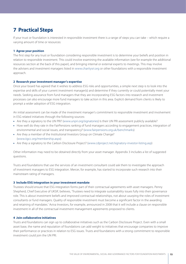# **7 Practical Steps**

If your trust or foundation is interested in responsible investment there is a range of steps you can take – which require a varying amount of time or resources:

#### **1 Agree your position**

The first step for any trust or foundation considering responsible investment is to determine your beliefs and position in relation to responsible investment. This could involve examining the available information (see for example the additional resources section at the back of this paper), and bringing internal or external experts to meetings. This may involve the advisers and investment managers listed in www.charitysri.org or other foundations with a responsible investment approach.

#### **2 Research your investment manager's expertise**

Once your board has agreed that it wishes to address ESG risks and opportunities, a simple next step is to look into the expertise and skills of your current investment manager(s) and determine if they currently or could potentially meet your needs. Seeking assurance from fund managers that they are incorporating ESG factors into research and investment processes can also encourage more fund managers to take action in this area. Explicit demand from clients is likely to prompt a wider adoption of ESG integration.

An initial assessment can be made of the investment manager's commitment to responsible investment and involvement in ESG related initiatives through the following sources:

- Are they a signatory to the UN PRI? (www.unpri.org/signatories) Is their UN PRI assessment publicly available?
- How well do they rate in the FairPensions ranking of fund managers according to engagement practices, integration of environmental and social issues, and transparency? (www.fairpensions.org.uk/benchmarks)
- Are they a member of the Institutional Investors Group on Climate Change? (www.iigcc.org/membership.aspx)
- Are they a signatory to the Carbon Disclosure Project? (www.cdproject.net/signatory-investor-listing.asp)

Other information may need to be obtained directly from your asset manager. Appendix 3 includes a list of suggested questions.

Trusts and foundations that use the services of an investment consultant could ask them to investigate the approach of investment managers to ESG integration. Mercer, for example, has started to incorporate such research into their mainstream rating of managers.

#### **3 Include ESG integration in your investment mandate**

Trustees should ensure that ESG integration forms part of their contractual agreements with asset managers. Penny Shepherd, Chief Executive of UKSIF, believes, 'Trustees need to integrate sustainability issues fully into their governance role. This is about investment beliefs and improved contractual relationships, not about usurping the roles of investment consultants or fund managers. Quality of responsible investment must become a significant factor in the awarding and retaining of mandates.' Aviva Investors, for example, announced in 2008 that it will include a clause on responsible investment in all of the contractual investment management agreements proposed to clients.

#### **4 Join collaborative initiatives**

Trusts and foundations can sign up to collaborative initiatives such as the Carbon Disclosure Project. Even with a small asset base, the name and reputation of foundations can add weight to initiatives that encourage companies to improve their performance or practices in relation to ESG issues. Trusts and foundations with a strong commitment to responsible investment could join the UN PRI.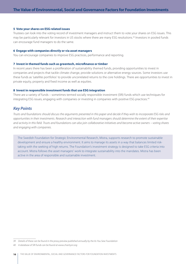#### **5 Vote your shares on ESG related issues**

Trustees can look into the voting record of investment managers and instruct them to vote your shares on ESG issues. This may be particularly relevant for investors in US stocks where there are many ESG resolutions.<sup>39</sup> Investors in pooled funds can encourage fund managers to do the same.

#### **6 Engage with companies directly or via asset managers**

You can encourage companies to improve ESG practices, performance and reporting.

#### **7 Invest in themed funds such as greentech, microfinance or timber**

In recent years there has been a proliferation of sustainability themed funds, providing opportunities to invest in companies and projects that tackle climate change, provide solutions or alternative energy sources. Some investors use these funds as 'satellite portfolios' to provide uncorrelated returns to the core holdings. There are opportunities to invest in private equity, property and fixed income as well as equities.

#### **8 Invest in responsible investment funds that use ESG integration**

There are a variety of funds – sometimes termed socially responsible investment (SRI) funds which use techniques for integrating ESG issues, engaging with companies or investing in companies with positive ESG practices.<sup>40</sup>

#### *Key Points*

*Trusts and foundations should discuss the arguments presented in this paper and decide if they wish to incorporate ESG risks and opportunities in their investments. Research and interaction with fund managers should determine the extent of their expertise and activity in this field. Trusts and foundations can also join collaborative initiatives and become active owners – voting shares and engaging with companies.* 

The Swedish Foundation for Strategic Environmental Research, Mistra, supports research to promote sustainable development and ensure a healthy environment. It aims to manage its assets in a way that balances limited risktaking with the seeking of high returns. The Foundation's investment strategy is designed to take ESG criteria into account. Mistra follows the asset managers' work to integrate sustainability into the mandates. Mistra has been active in the area of responsible and sustainable investment.

*<sup>39</sup> Details of these can be found in the proxy preview published annually by the As You Sew Foundation*

*<sup>40</sup> A database of SRI funds can be found at www.charitysri.org*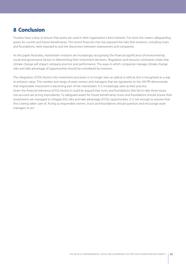# **8 Conclusion**

Trustees have a duty to ensure that assets are used in their organisation's best interests. For most this means safeguarding assets for current and future beneficiaries. The recent financial crisis has exposed the risks that investors, including trusts and foundations, were exposed to and the disconnect between shareowners and companies.

As this paper illustrates, mainstream investors are increasingly recognising the financial significance of environmental, social and governance factors in determining their investment decisions. Regulation and resource constraints mean that climate change will impact company practice and performance. The ways in which companies manage climate change risks and take advantage of opportunities should be considered by investors.

The integration of ESG factors into investment processes is no longer seen as radical or ethical, but is recognised as a way to enhance value. The number and range of asset owners and managers that are signatories to the UN PRI demonstrate that responsible investment is becoming part of the mainstream. It is increasingly seen as best practice. Given the financial relevance of ESG factors it could be argued that trusts and foundations that fail to take these issues into account are acting imprudently. To safeguard assets for future beneficiaries trusts and foundations should ensure their investments are managed to mitigate ESG risks and take advantage of ESG opportunities. It is not enough to assume that this is being taken care of. Acting as responsible owners, trusts and foundations should question and encourage asset managers to act.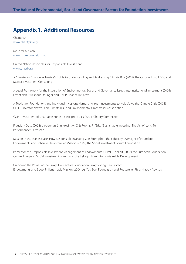# **Appendix 1. Additional Resources**

Charity SRI www.charitysri.org

More for Mission www.moreformission.org

United Nations Principles for Responsible Investment www.unpri.org

A Climate for Change. A Trustee's Guide to Understanding and Addressing Climate Risk (2005) The Carbon Trust, IIGCC and Mercer Investment Consulting

A Legal Framework for the Integration of Environmental, Social and Governance Issues into Institutional Investment (2005) Freshfields Bruckhaus Deringer and UNEP Finance Initiative

A Toolkit for Foundations and Individual Investors: Harnessing Your Investments to Help Solve the Climate Crisis (2008) CERES, Investor Network on Climate Risk and Environmental Grantmakers Association.

CC14: Investment of Charitable Funds - Basic principles (2004) Charity Commission

Fiduciary Duty (2008) Viederman, S in Krosinsky, C. & Robins, R. (Eds.) 'Sustainable Investing: The Art of Long Term Performance.' Earthscan.

Mission in the Marketplace: How Responsible Investing Can Strengthen the Fiduciary Oversight of Foundation Endowments and Enhance Philanthropic Missions (2009) the Social Investment Forum Foundation.

Primer for the Responsible Investment Management of Endowments (PRIME) Tool Kit (2006) the European Foundation Centre, European Social Investment Forum and the Bellagio Forum for Sustainable Development.

Unlocking the Power of the Proxy: How Active Foundation Proxy Voting Can Protect Endowments and Boost Philanthropic Mission (2004) As You Sow Foundation and Rockefeller Philanthropy Advisors.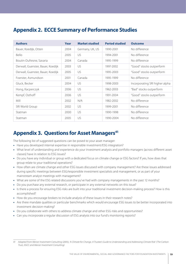# **Appendix 2. ECCE Summary of Performance Studies**

| <b>Authors</b>                    | Year | <b>Market studied</b> | <b>Period studied</b> | <b>Outcome</b>                 |
|-----------------------------------|------|-----------------------|-----------------------|--------------------------------|
| Bauer, Koedijk, Otten             | 2004 | Germany, UK, US       | 1990-2001             | No difference                  |
| Bello                             | 2005 | US                    | 1994-2001             | No difference                  |
| Boutin-Dufresne, Savaria          | 2004 | Canada                | 1995-1999             | No difference                  |
| Derwall, Guenster, Bauer, Koedijk | 2003 | US                    | 1997-2002             | "Good" stocks outperform       |
| Derwall, Guenster, Bauer, Koedijk | 2005 | US                    | 1995-2003             | "Good" stocks outperform       |
| Foerster, Asmundson               | 2001 | Canada                | 1995-1999             | No difference                  |
| Gluck, Becker                     | 2004 | US                    | 1998-2003             | Incorporating SRI higher alpha |
| Hong, Kacperczyk                  | 2006 | US                    | 1962-2003             | "Bad" stocks outperform        |
| Kempf, Osthoff                    | 2006 | US                    | 1991-2004             | "Good" stocks outperform       |
| Mill                              | 2002 | N/A                   | 1982-2002             | No difference                  |
| SRI World Group                   | 2002 | US                    | 1999-2001             | No difference                  |
| Statman                           | 2000 | US                    | 1990-1998             | No difference                  |
| Statman                           | 2005 | US                    | 1990-2004             | No difference                  |

# **Appendix 3. Questions for Asset Managers<sup>41</sup>**

The following list of suggested questions can be posed to your asset manager:

- Have you developed internal expertise in responsible investment/ESG integration?
- What level of understanding and experience do your investment analysts and portfolio managers (across different asset classes) have in relation to ESG issues?
- Do you have any individual or group with a dedicated focus on climate change or ESG factors? If yes, how does that group relate to your traditional operations?
- How often are climate change and other ESG issues discussed with company management? Are these issues addressed during specific meetings between ESG/responsible investment specialists and management, or as part of your mainstream analyst meetings with management?
- What are some of the ESG related discussions you've had with company managements in the past 12 months?
- Do you purchase any external research, or participate in any external networks on this issue?
- Is there a process for ensuring ESG risks are built into your traditional investment decision-making process? How is this accomplished?
- How do you encourage brokers to include analysis of these issues in their research notes?
- Are there mandate qualities or particular benchmarks which would encourage ESG issues to be better incorporated into investment decision-making?
- Do you collaborate with others to address climate change and other ESG risks and opportunities?
- Can you incorporate a regular discussion of ESG analysis into our fund's monitoring reports?

*<sup>41</sup> Adapted from Mercer Investment Consulting (2005), 'A Climate for Change. A Trustee's Guide to Understanding and Addressing Climate Risk' (The Carbon Trust, IIGCC and Mercer Investment Consulting)*